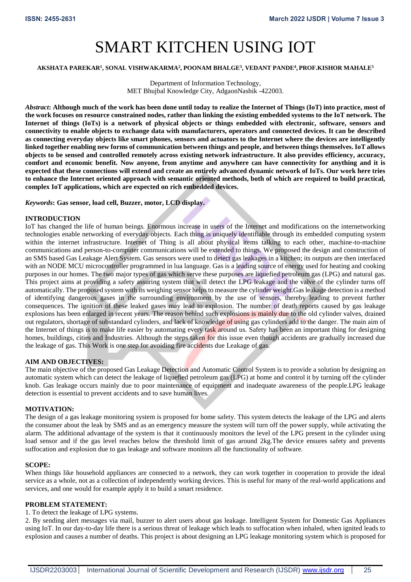# SMART KITCHEN USING IOT

## **AKSHATA PAREKAR<sup>1</sup> , SONAL VISHWAKARMA<sup>2</sup> , POONAM BHALGE<sup>3</sup> , VEDANT PANDE<sup>4</sup> , PROF.KISHOR MAHALE<sup>5</sup>**

Department of Information Technology, MET Bhujbal Knowledge City, AdgaonNashik -422003.

*Abstract***: Although much of the work has been done until today to realize the Internet of Things (IoT) into practice, most of the work focuses on resource constrained nodes, rather than linking the existing embedded systems to the IoT network. The Internet of things (IoTs) is a network of physical objects or things embedded with electronic, software, sensors and connectivity to enable objects to exchange data with manufacturers, operators and connected devices. It can be described as connecting everyday objects like smart phones, sensors and actuators to the Internet where the devices are intelligently linked together enabling new forms of communication between things and people, and between things themselves. IoT allows objects to be sensed and controlled remotely across existing network infrastructure. It also provides efficiency, accuracy, comfort and economic benefit. Now anyone, from anytime and anywhere can have connectivity for anything and it is expected that these connections will extend and create an entirely advanced dynamic network of IoTs. Our work here tries to enhance the Internet oriented approach with semantic oriented methods, both of which are required to build practical, complex IoT applications, which are expected on rich embedded devices.** 

#### *Keywords***: Gas sensor, load cell, Buzzer, motor, LCD display.**

#### **INTRODUCTION**

IoT has changed the life of human beings. Enormous increase in users of the Internet and modifications on the internetworking technologies enable networking of everyday objects. Each thing is uniquely identifiable through its embedded computing system within the internet infrastructure. Internet of Thing is all about physical items talking to each other, machine-to-machine communications and person-to-computer communications will be extended to things. We proposed the design and construction of an SMS based Gas Leakage Alert System. Gas sensors were used to detect gas leakages in a kitchen; its outputs are then interfaced with an NODE MCU microcontroller programmed in lua language. Gas is a leading source of energy used for heating and cooking purposes in our homes. The two major types of gas which serve these purposes are liquefied petroleum gas (LPG) and natural gas. This project aims at providing a safety assuring system that will detect the LPG leakage and the valve of the cylinder turns off automatically. The proposed system with its weighing sensor helps to measure the cylinder weight.Gas leakage detection is a method of identifying dangerous gases in the surrounding environment by the use of sensors, thereby leading to prevent further consequences. The ignition of these leaked gases may lead to explosion. The number of death reports caused by gas leakage explosions has been enlarged in recent years. The reason behind such explosions is mainly due to the old cylinder valves, drained out regulators, shortage of substandard cylinders, and lack of knowledge of using gas cylinders add to the danger. The main aim of the Internet of things is to make life easier by automating every task around us. Safety has been an important thing for designing homes, buildings, cities and Industries. Although the steps taken for this issue even though accidents are gradually increased due the leakage of gas. This Work is one step for avoiding fire accidents due Leakage of gas.

#### **AIM AND OBJECTIVES:**

The main objective of the proposed Gas Leakage Detection and Automatic Control System is to provide a solution by designing an automatic system which can detect the leakage of liquefied petroleum gas (LPG) at home and control it by turning off the cylinder knob. Gas leakage occurs mainly due to poor maintenance of equipment and inadequate awareness of the people.LPG leakage detection is essential to prevent accidents and to save human lives.

#### **MOTIVATION:**

The design of a gas leakage monitoring system is proposed for home safety. This system detects the leakage of the LPG and alerts the consumer about the leak by SMS and as an emergency measure the system will turn off the power supply, while activating the alarm. The additional advantage of the system is that it continuously monitors the level of the LPG present in the cylinder using load sensor and if the gas level reaches below the threshold limit of gas around 2kg.The device ensures safety and prevents suffocation and explosion due to gas leakage and software monitors all the functionality of software.

#### **SCOPE:**

When things like household appliances are connected to a network, they can work together in cooperation to provide the ideal service as a whole, not as a collection of independently working devices. This is useful for many of the real-world applications and services, and one would for example apply it to build a smart residence.

## **PROBLEM STATEMENT:**

#### 1. To detect the leakage of LPG systems.

2. By sending alert messages via mail, buzzer to alert users about gas leakage. Intelligent System for Domestic Gas Appliances using IoT. In our day-to-day life there is a serious threat of leakage which leads to suffocation when inhaled, when ignited leads to explosion and causes a number of deaths. This project is about designing an LPG leakage monitoring system which is proposed for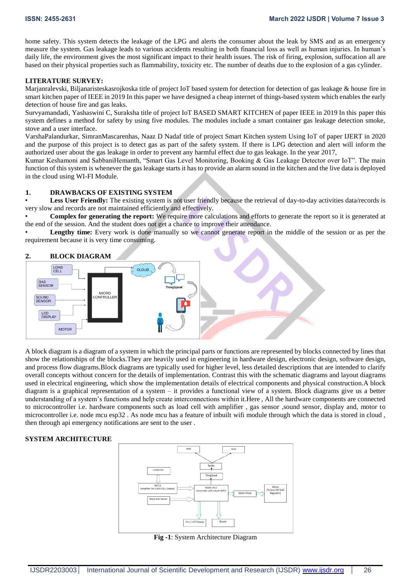home safety. This system detects the leakage of the LPG and alerts the consumer about the leak by SMS and as an emergency measure the system. Gas leakage leads to various accidents resulting in both financial loss as well as human injuries. In human's daily life, the environment gives the most significant impact to their health issues. The risk of firing, explosion, suffocation all are based on their physical properties such as flammability, toxicity etc. The number of deaths due to the explosion of a gas cylinder.

## **LITERATURE SURVEY:**

Marjanralevski, Biljanaristeskasrojkoska title of project IoT based system for detection for detection of gas leakage & house fire in smart kitchen paper of IEEE in 2019 In this paper we have designed a cheap internet of things-based system which enables the early detection of house fire and gas leaks.

Survyamandadi, Yashaswini C, Suraksha title of project IoT BASED SMART KITCHEN of paper IEEE in 2019 In this paper this system defines a method for safety by using five modules. The modules include a smart container gas leakage detection smoke, stove and a user interface.

VarshaPalandurkar, SimranMascarenhas, Naaz D Nadaf title of project Smart Kitchen system Using IoT of paper IJERT in 2020 and the purpose of this project is to detect gas as part of the safety system. If there is LPG detection and alert will inform the authorized user about the gas leakage in order to prevent any harmful effect due to gas leakage. In the year 2017,

Kumar Keshamoni and SabbaniHemanth, "Smart Gas Level Monitoring, Booking & Gas Leakage Detector over IoT". The main function of this system is whenever the gas leakage starts it has to provide an alarm sound in the kitchen and the live data is deployed in the cloud using WI-FI Module.

# **1. DRAWBACKS OF EXISTING SYSTEM**

Less User Friendly: The existing system is not user friendly because the retrieval of day-to-day activities data/records is very slow and records are not maintained efficiently and effectively.

• **Complex for generating the report:** We require more calculations and efforts to generate the report so it is generated at the end of the session. And the student does not get a chance to improve their attendance.

**Lengthy time:** Every work is done manually so we cannot generate report in the middle of the session or as per the requirement because it is very time consuming.



A block diagram is a diagram of a system in which the principal parts or functions are represented by blocks connected by lines that show the relationships of the blocks.They are heavily used in engineering in hardware design, electronic design, software design, and process flow diagrams.Block diagrams are typically used for higher level, less detailed descriptions that are intended to clarify overall concepts without concern for the details of implementation. Contrast this with the schematic diagrams and layout diagrams used in electrical engineering, which show the implementation details of electrical components and physical construction.A block diagram is a graphical representation of a system – it provides a functional view of a system. Block diagrams give us a better understanding of a system's functions and help create interconnections within it.Here , All the hardware components are connected to microcontroller i.e. hardware components such as load cell with amplifier, gas sensor, sound sensor, display and, motor to microcontroller i.e. node mcu esp32 . As node mcu has a feature of inbuilt wifi module through which the data is stored in cloud , then through api emergency notifications are sent to the user .

#### **SYSTEM ARCHITECTURE**



**Fig -1**: System Architecture Diagram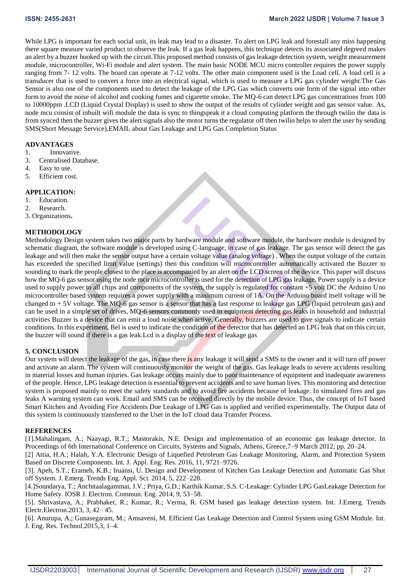While LPG is important for each social unit, its leak may lead to a disaster. To alert on LPG leak and forestall any miss happening there square measure varied product to observe the leak. If a gas leak happens, this technique detects its associated degreed makes an alert by a buzzer hooked up with the circuit.This proposed method consists of gas leakage detection system, weight measurement module, microcontroller, Wi-Fi module and alert system. The main basic NODE MCU micro controller requires the power supply ranging from 7- 12 volts. The board can operate at 7-12 volts. The other main component used is the Load cell. A load cell is a transducer that is used to convert a force into an electrical signal, which is used to measure a LPG gas cylinder weight.The Gas Sensor is also one of the components used to detect the leakage of the LPG Gas which converts one form of the signal into other form to avoid the noise of alcohol and cooking fumes and cigarette smoke. The MQ-6 can detect LPG gas concentrations from 100 to 10000ppm .LCD (Liquid Crystal Display) is used to show the output of the results of cylinder weight and gas sensor value. As, node mcu consist of inbuilt wifi module the data is sync to thingspeak it a cloud computing platform the through twilio the data is from synced then the buzzer gives the alert signals also the motor turns the regulator off then twilio helps to alert the user by sending SMS(Short Message Service),EMAIL about Gas Leakage and LPG Gas Completion Status

# **ADVANTAGES**

- 1. Innovative.
- 3. Centralised Database.
- 4. Easy to use.
- 5. Efficient cost.

## **APPLICATION:**

- 1. Education.
- 2. Research.
- 3. Organizations**.**

# **METHODOLOGY**

Methodology Design system takes two major parts by hardware module and software module, the hardware module is designed by schematic diagram, the software module is developed using C-language, in case of gas leakage. The gas sensor will detect the gas leakage and will then make the sensor output have a certain voltage value (analog voltage) . When the output voltage of the curtain has exceeded the specified limit value (settings) then this condition will microcontroller automatically activated the Buzzer to sounding to mark the people closest to the place is accompanied by an alert on the LCD screen of the device. This paper will discuss how the MQ-6 gas sensor using the node mcu microcontroller is used for the detection of LPG gas leakage. Power supply is a device used to supply power to all chips and components of the system, the supply is regulated for constant +5 volt DC the Arduino Uno microcontroller based system requires a power supply with a maximum current of 1A. On the Arduino board itself voltage will be changed to + 5V voltage. The MQ-6 gas sensor is a sensor that has a fast response to leakage gas LPG (liquid petroleum gas) and can be used in a simple set of drives, MQ-6 sensors commonly used in equipment detecting gas leaks in household and industrial activities Buzzer is a device that can emit a loud noise when active. Generally, buzzers are used to give signals to indicate certain conditions. In this experiment, Bel is used to indicate the condition of the detector that has detected an LPG leak that on this circuit, the buzzer will sound if there is a gas leak.Lcd is a display of the text of leakage gas

# **5. CONCLUSION**

Our system will detect the leakage of the gas, in case there is any leakage it will send a SMS to the owner and it will turn off power and activate an alarm. The system will continuously monitor the weight of the gas. Gas leakage leads to severe accidents resulting in material losses and human injuries. Gas leakage occurs mainly due to poor maintenance of equipment and inadequate awareness of the people. Hence, LPG leakage detection is essential to prevent accidents and to save human lives. This monitoring and detection system is proposed mainly to meet the safety standards and to avoid fire accidents because of leakage. In simulated fires and gas leaks A warning system can work. Email and SMS can be received directly by the mobile device. Thus, the concept of IoT based Smart Kitchen and Avoiding Fire Accidents Due Leakage of LPG Gas is applied and verified experimentally. The Output data of this system is continuously transferred to the User in the IoT cloud data Transfer Process.

#### **REFERENCES**

[1].Mahalingam, A.; Naayagi, R.T.; Mastorakis, N.E. Design and implementation of an economic gas leakage detector. In Proceedings of 6th International Conference on Circuits, Systems and Signals, Athens, Greece,7–9 March 2012; pp. 20–24.

[2] Attia, H.A.; Halah, Y.A. Electronic Design of Liquefied Petroleum Gas Leakage Monitoring, Alarm, and Protection System Based on Discrete Components. Int. J. Appl. Eng. Res. 2016, 11, 9721–9726.

[3]. Apeh, S.T.; Erameh, K.B.; Iruansi, U. Design and Development of Kitchen Gas Leakage Detection and Automatic Gas Shut off System. J. Emerg. Trends Eng. Appl. Sci. 2014, 5, 222–228.

[4.]Soundarya, T.; Anchitaalagammai, J.V.; Priya, G.D.; Karthik Kumar, S.S. C-Leakage: Cylinder LPG GasLeakage Detection for Home Safety. IOSR J. Electron. Commun. Eng. 2014, 9, 53–58.

[5]. Shrivastava, A.; Prabhaker, R.; Kumar, R.; Verma, R. GSM based gas leakage detection system. Int. J.Emerg. Trends Electr.Electron.2013, 3, 42– 45.

[6]. Anurupa, A.; Gunasegaram, M.; Amsaveni, M. Efficient Gas Leakage Detection and Control System using GSM Module. Int. J. Eng. Res. Technol.2015,3, 1–4.